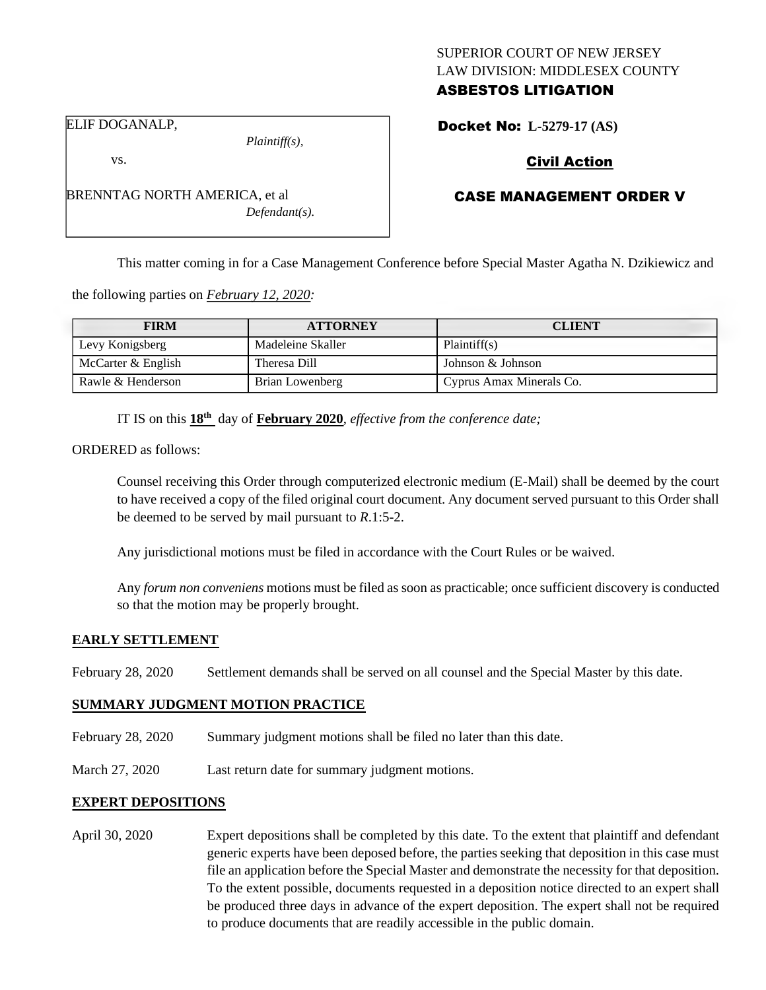### SUPERIOR COURT OF NEW JERSEY LAW DIVISION: MIDDLESEX COUNTY ASBESTOS LITIGATION

Docket No: **L-5279-17 (AS)** 

ELIF DOGANALP,

vs.

*Plaintiff(s),*

Civil Action

## CASE MANAGEMENT ORDER V

This matter coming in for a Case Management Conference before Special Master Agatha N. Dzikiewicz and

the following parties on *February 12, 2020:*

| <b>FIRM</b>        | <b>ATTORNEY</b>   | <b>CLIENT</b>            |
|--------------------|-------------------|--------------------------|
| Levy Konigsberg    | Madeleine Skaller | Plaintiff(s)             |
| McCarter & English | Theresa Dill      | Johnson & Johnson        |
| Rawle & Henderson  | Brian Lowenberg   | Cyprus Amax Minerals Co. |

IT IS on this  $18<sup>th</sup>$  day of **February 2020**, *effective from the conference date*;

ORDERED as follows:

Counsel receiving this Order through computerized electronic medium (E-Mail) shall be deemed by the court to have received a copy of the filed original court document. Any document served pursuant to this Order shall be deemed to be served by mail pursuant to *R*.1:5-2.

Any jurisdictional motions must be filed in accordance with the Court Rules or be waived.

Any *forum non conveniens* motions must be filed as soon as practicable; once sufficient discovery is conducted so that the motion may be properly brought.

#### **EARLY SETTLEMENT**

February 28, 2020 Settlement demands shall be served on all counsel and the Special Master by this date.

#### **SUMMARY JUDGMENT MOTION PRACTICE**

- February 28, 2020 Summary judgment motions shall be filed no later than this date.
- March 27, 2020 Last return date for summary judgment motions.

#### **EXPERT DEPOSITIONS**

April 30, 2020 Expert depositions shall be completed by this date. To the extent that plaintiff and defendant generic experts have been deposed before, the parties seeking that deposition in this case must file an application before the Special Master and demonstrate the necessity for that deposition. To the extent possible, documents requested in a deposition notice directed to an expert shall be produced three days in advance of the expert deposition. The expert shall not be required to produce documents that are readily accessible in the public domain.

BRENNTAG NORTH AMERICA, et al *Defendant(s).*